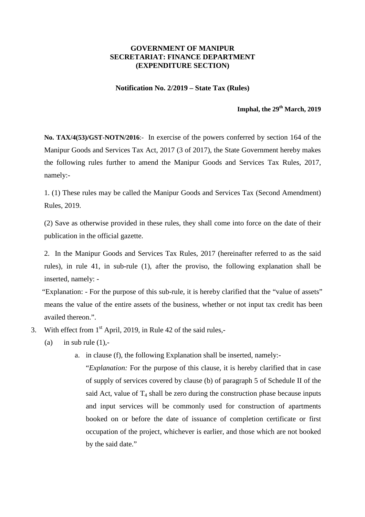### **GOVERNMENT OF MANIPUR SECRETARIAT: FINANCE DEPARTMENT (EXPENDITURE SECTION)**

#### **Notification No. 2/2019 – State Tax (Rules)**

# **Imphal, the 29th March, 2019**

**No. TAX/4(53)/GST-NOTN/2016**:- In exercise of the powers conferred by section 164 of the Manipur Goods and Services Tax Act, 2017 (3 of 2017), the State Government hereby makes the following rules further to amend the Manipur Goods and Services Tax Rules, 2017, namely:-

1. (1) These rules may be called the Manipur Goods and Services Tax (Second Amendment) Rules, 2019.

(2) Save as otherwise provided in these rules, they shall come into force on the date of their publication in the official gazette.

2. In the Manipur Goods and Services Tax Rules, 2017 (hereinafter referred to as the said rules), in rule 41, in sub-rule (1), after the proviso, the following explanation shall be inserted, namely: -

 "Explanation: - For the purpose of this sub-rule, it is hereby clarified that the "value of assets" means the value of the entire assets of the business, whether or not input tax credit has been availed thereon.".

- 3. With effect from  $1<sup>st</sup>$  April, 2019, in Rule 42 of the said rules,-
	- (a) in sub rule  $(1)$ .
		- a. in clause (f), the following Explanation shall be inserted, namely:-

"*Explanation:* For the purpose of this clause, it is hereby clarified that in case of supply of services covered by clause (b) of paragraph 5 of Schedule II of the said Act, value of  $T_4$  shall be zero during the construction phase because inputs and input services will be commonly used for construction of apartments booked on or before the date of issuance of completion certificate or first occupation of the project, whichever is earlier, and those which are not booked by the said date."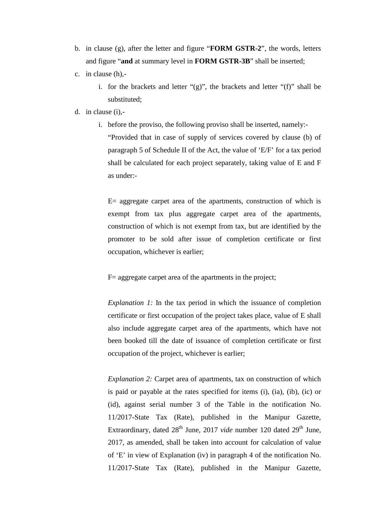- b. in clause (g), after the letter and figure "**FORM GSTR-2**", the words, letters and figure "**and** at summary level in **FORM GSTR-3B**" shall be inserted;
- c. in clause (h),
	- i. for the brackets and letter " $(g)$ ", the brackets and letter " $(f)$ " shall be substituted;
- d. in clause (i),
	- i. before the proviso, the following proviso shall be inserted, namely:- "Provided that in case of supply of services covered by clause (b) of paragraph 5 of Schedule II of the Act, the value of 'E/F' for a tax period shall be calculated for each project separately, taking value of E and F as under:-

 $E=$  aggregate carpet area of the apartments, construction of which is exempt from tax plus aggregate carpet area of the apartments, construction of which is not exempt from tax, but are identified by the promoter to be sold after issue of completion certificate or first occupation, whichever is earlier;

F= aggregate carpet area of the apartments in the project;

*Explanation 1:* In the tax period in which the issuance of completion certificate or first occupation of the project takes place, value of E shall also include aggregate carpet area of the apartments, which have not been booked till the date of issuance of completion certificate or first occupation of the project, whichever is earlier;

*Explanation 2:* Carpet area of apartments, tax on construction of which is paid or payable at the rates specified for items (i), (ia), (ib), (ic) or (id), against serial number 3 of the Table in the notification No. 11/2017-State Tax (Rate), published in the Manipur Gazette, Extraordinary, dated  $28<sup>th</sup>$  June, 2017 *vide* number 120 dated  $29<sup>th</sup>$  June, 2017, as amended, shall be taken into account for calculation of value of 'E' in view of Explanation (iv) in paragraph 4 of the notification No. 11/2017-State Tax (Rate), published in the Manipur Gazette,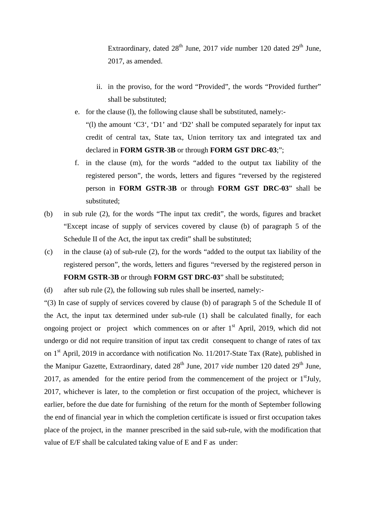Extraordinary, dated 28<sup>th</sup> June, 2017 *vide* number 120 dated 29<sup>th</sup> June, 2017, as amended.

- ii. in the proviso, for the word "Provided", the words "Provided further" shall be substituted;
- e. for the clause (l), the following clause shall be substituted, namely:- "(l) the amount 'C3', 'D1' and 'D2' shall be computed separately for input tax credit of central tax, State tax, Union territory tax and integrated tax and declared in **FORM GSTR-3B** or through **FORM GST DRC-03**;";
- f. in the clause (m), for the words "added to the output tax liability of the registered person", the words, letters and figures "reversed by the registered person in **FORM GSTR-3B** or through **FORM GST DRC-03**" shall be substituted;
- (b) in sub rule (2), for the words "The input tax credit", the words, figures and bracket "Except incase of supply of services covered by clause (b) of paragraph 5 of the Schedule II of the Act, the input tax credit" shall be substituted;
- (c) in the clause (a) of sub-rule (2), for the words "added to the output tax liability of the registered person", the words, letters and figures "reversed by the registered person in **FORM GSTR-3B** or through **FORM GST DRC-03**" shall be substituted;

(d) after sub rule (2), the following sub rules shall be inserted, namely:-

"(3) In case of supply of services covered by clause (b) of paragraph 5 of the Schedule II of the Act, the input tax determined under sub-rule (1) shall be calculated finally, for each ongoing project or project which commences on or after 1<sup>st</sup> April, 2019, which did not undergo or did not require transition of input tax credit consequent to change of rates of tax on  $1<sup>st</sup>$  April, 2019 in accordance with notification No. 11/2017-State Tax (Rate), published in the Manipur Gazette, Extraordinary, dated 28<sup>th</sup> June, 2017 *vide* number 120 dated 29<sup>th</sup> June, 2017, as amended for the entire period from the commencement of the project or  $1<sup>st</sup>$  July, 2017, whichever is later, to the completion or first occupation of the project, whichever is earlier, before the due date for furnishing of the return for the month of September following the end of financial year in which the completion certificate is issued or first occupation takes place of the project, in the manner prescribed in the said sub-rule, with the modification that value of E/F shall be calculated taking value of E and F as under: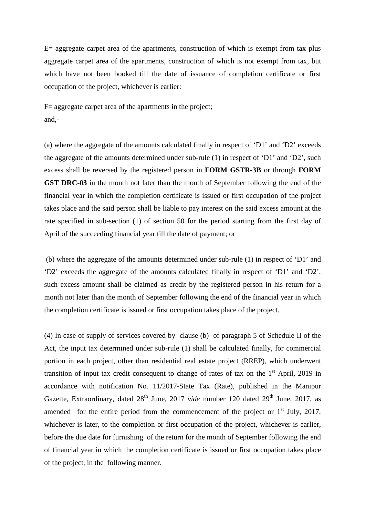$E=$  aggregate carpet area of the apartments, construction of which is exempt from tax plus aggregate carpet area of the apartments, construction of which is not exempt from tax, but which have not been booked till the date of issuance of completion certificate or first occupation of the project, whichever is earlier:

 $F=$  aggregate carpet area of the apartments in the project; and,-

(a) where the aggregate of the amounts calculated finally in respect of 'D1' and 'D2' exceeds the aggregate of the amounts determined under sub-rule (1) in respect of 'D1' and 'D2', such excess shall be reversed by the registered person in **FORM GSTR-3B** or through **FORM GST DRC-03** in the month not later than the month of September following the end of the financial year in which the completion certificate is issued or first occupation of the project takes place and the said person shall be liable to pay interest on the said excess amount at the rate specified in sub-section (1) of section 50 for the period starting from the first day of April of the succeeding financial year till the date of payment; or

 (b) where the aggregate of the amounts determined under sub-rule (1) in respect of 'D1' and 'D2' exceeds the aggregate of the amounts calculated finally in respect of 'D1' and 'D2', such excess amount shall be claimed as credit by the registered person in his return for a month not later than the month of September following the end of the financial year in which the completion certificate is issued or first occupation takes place of the project.

(4) In case of supply of services covered by clause (b) of paragraph 5 of Schedule II of the Act, the input tax determined under sub-rule (1) shall be calculated finally, for commercial portion in each project, other than residential real estate project (RREP), which underwent transition of input tax credit consequent to change of rates of tax on the  $1<sup>st</sup>$  April, 2019 in accordance with notification No. 11/2017-State Tax (Rate), published in the Manipur Gazette, Extraordinary, dated 28<sup>th</sup> June, 2017 *vide* number 120 dated 29<sup>th</sup> June, 2017, as amended for the entire period from the commencement of the project or  $1<sup>st</sup>$  July, 2017, whichever is later, to the completion or first occupation of the project, whichever is earlier, before the due date for furnishing of the return for the month of September following the end of financial year in which the completion certificate is issued or first occupation takes place of the project, in the following manner.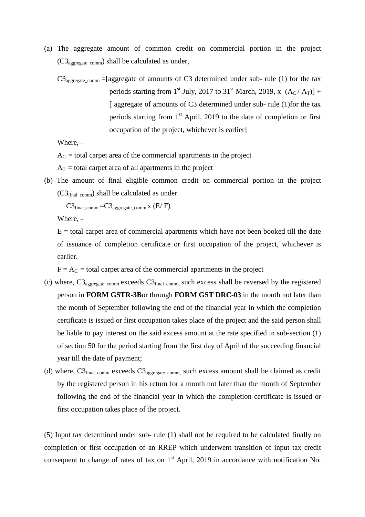- (a) The aggregate amount of common credit on commercial portion in the project  $(C3<sub>aggregate</sub> comm)$  shall be calculated as under,
	- $C3<sub>aggregate\_comm</sub> = [aggregate of amounts of C3 determined under sub- rule (1) for the tax$ periods starting from 1<sup>st</sup> July, 2017 to 31<sup>st</sup> March, 2019, x  $(A_C / A_T)$ ] + [aggregate of amounts of C3 determined under sub- rule (1) for the tax periods starting from  $1<sup>st</sup>$  April, 2019 to the date of completion or first occupation of the project, whichever is earlier]

Where, -

 $A<sub>C</sub>$  = total carpet area of the commercial apartments in the project

 $A_T$  = total carpet area of all apartments in the project

(b) The amount of final eligible common credit on commercial portion in the project  $(C3_{final\text{ comm}})$  shall be calculated as under

 $C3_{final\_comm} = C3_{aegregate\_comm}$  x (E/ F)

Where, -

 $E =$  total carpet area of commercial apartments which have not been booked till the date of issuance of completion certificate or first occupation of the project, whichever is earlier.

 $F = A_C$  = total carpet area of the commercial apartments in the project

- (c) where,  $C3_{\text{aggregate comm}}$  exceeds  $C3_{\text{final comm}}$ , such excess shall be reversed by the registered person in **FORM GSTR-3B**or through **FORM GST DRC-03** in the month not later than the month of September following the end of the financial year in which the completion certificate is issued or first occupation takes place of the project and the said person shall be liable to pay interest on the said excess amount at the rate specified in sub-section (1) of section 50 for the period starting from the first day of April of the succeeding financial year till the date of payment;
- (d) where,  $C3_{final\_comm}$  exceeds  $C3_{aggregate\_comm}$ , such excess amount shall be claimed as credit by the registered person in his return for a month not later than the month of September following the end of the financial year in which the completion certificate is issued or first occupation takes place of the project.

(5) Input tax determined under sub- rule (1) shall not be required to be calculated finally on completion or first occupation of an RREP which underwent transition of input tax credit consequent to change of rates of tax on  $1<sup>st</sup>$  April, 2019 in accordance with notification No.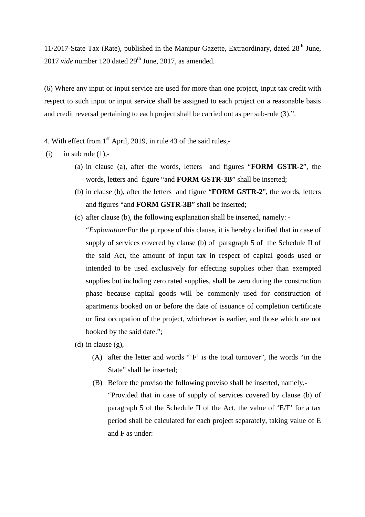11/2017-State Tax (Rate), published in the Manipur Gazette, Extraordinary, dated  $28<sup>th</sup>$  June, 2017 *vide* number 120 dated 29<sup>th</sup> June, 2017, as amended.

(6) Where any input or input service are used for more than one project, input tax credit with respect to such input or input service shall be assigned to each project on a reasonable basis and credit reversal pertaining to each project shall be carried out as per sub-rule (3).".

4. With effect from  $1<sup>st</sup>$  April, 2019, in rule 43 of the said rules,-

 $(i)$  in sub rule  $(1)$ .

- (a) in clause (a), after the words, letters and figures "**FORM GSTR-2**", the words, letters and figure "and **FORM GSTR-3B**" shall be inserted;
- (b) in clause (b), after the letters and figure "**FORM GSTR-2**", the words, letters and figures "and **FORM GSTR-3B**" shall be inserted;
- (c) after clause (b), the following explanation shall be inserted, namely:
	- "*Explanation:*For the purpose of this clause, it is hereby clarified that in case of supply of services covered by clause (b) of paragraph 5 of the Schedule II of the said Act, the amount of input tax in respect of capital goods used or intended to be used exclusively for effecting supplies other than exempted supplies but including zero rated supplies, shall be zero during the construction phase because capital goods will be commonly used for construction of apartments booked on or before the date of issuance of completion certificate or first occupation of the project, whichever is earlier, and those which are not booked by the said date.";
- (d) in clause  $(g)$ ,-
	- (A) after the letter and words "'F' is the total turnover", the words "in the State" shall be inserted;
	- (B) Before the proviso the following proviso shall be inserted, namely,- "Provided that in case of supply of services covered by clause (b) of paragraph 5 of the Schedule II of the Act, the value of 'E/F' for a tax period shall be calculated for each project separately, taking value of E and F as under: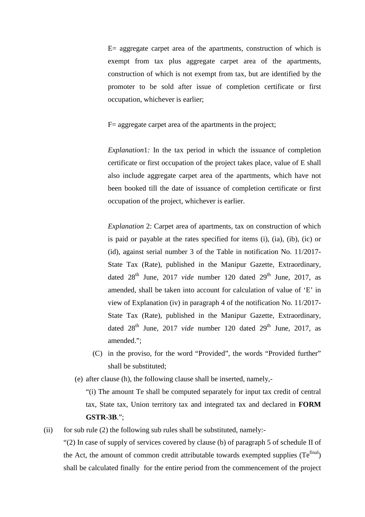$E=$  aggregate carpet area of the apartments, construction of which is exempt from tax plus aggregate carpet area of the apartments, construction of which is not exempt from tax, but are identified by the promoter to be sold after issue of completion certificate or first occupation, whichever is earlier;

 $F=$  aggregate carpet area of the apartments in the project;

*Explanation*1*:* In the tax period in which the issuance of completion certificate or first occupation of the project takes place, value of E shall also include aggregate carpet area of the apartments, which have not been booked till the date of issuance of completion certificate or first occupation of the project, whichever is earlier.

*Explanation* 2: Carpet area of apartments, tax on construction of which is paid or payable at the rates specified for items (i), (ia), (ib), (ic) or (id), against serial number 3 of the Table in notification No. 11/2017- State Tax (Rate), published in the Manipur Gazette, Extraordinary, dated  $28<sup>th</sup>$  June,  $2017$  *vide* number 120 dated  $29<sup>th</sup>$  June, 2017, as amended, shall be taken into account for calculation of value of 'E' in view of Explanation (iv) in paragraph 4 of the notification No. 11/2017- State Tax (Rate), published in the Manipur Gazette, Extraordinary, dated  $28<sup>th</sup>$  June,  $2017$  *vide* number 120 dated  $29<sup>th</sup>$  June, 2017, as amended.";

- (C) in the proviso, for the word "Provided", the words "Provided further" shall be substituted;
- (e) after clause (h), the following clause shall be inserted, namely,-

"(i) The amount Te shall be computed separately for input tax credit of central tax, State tax, Union territory tax and integrated tax and declared in **FORM GSTR-3B**.";

(ii) for sub rule  $(2)$  the following sub rules shall be substituted, namely:-

"(2) In case of supply of services covered by clause (b) of paragraph 5 of schedule II of the Act, the amount of common credit attributable towards exempted supplies  $(Te^{final})$ shall be calculated finally for the entire period from the commencement of the project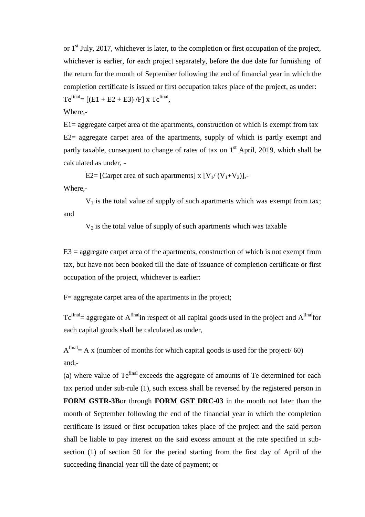or  $1<sup>st</sup>$  July, 2017, whichever is later, to the completion or first occupation of the project, whichever is earlier, for each project separately, before the due date for furnishing of the return for the month of September following the end of financial year in which the completion certificate is issued or first occupation takes place of the project, as under:  $Te^{final} = [(E1 + E2 + E3)/F] x Tc^{final},$ 

Where,-

 $E1$  = aggregate carpet area of the apartments, construction of which is exempt from tax E2= aggregate carpet area of the apartments, supply of which is partly exempt and partly taxable, consequent to change of rates of tax on  $1<sup>st</sup>$  April, 2019, which shall be calculated as under, -

E2= [Carpet area of such apartments] x  $[V_1/(V_1+V_2)]$ ,

Where,-

 $V_1$  is the total value of supply of such apartments which was exempt from tax; and

 $V_2$  is the total value of supply of such apartments which was taxable

 $E3 =$  aggregate carpet area of the apartments, construction of which is not exempt from tax, but have not been booked till the date of issuance of completion certificate or first occupation of the project, whichever is earlier:

F= aggregate carpet area of the apartments in the project;

 $T_c^{final}$  aggregate of  $A^{final}$  in respect of all capital goods used in the project and  $A^{final}$  for each capital goods shall be calculated as under,

 $A<sup>final</sup> = A x$  (number of months for which capital goods is used for the project/ 60) and,-

(a) where value of Tefinal exceeds the aggregate of amounts of Te determined for each tax period under sub-rule (1), such excess shall be reversed by the registered person in **FORM GSTR-3B**or through **FORM GST DRC-03** in the month not later than the month of September following the end of the financial year in which the completion certificate is issued or first occupation takes place of the project and the said person shall be liable to pay interest on the said excess amount at the rate specified in subsection (1) of section 50 for the period starting from the first day of April of the succeeding financial year till the date of payment; or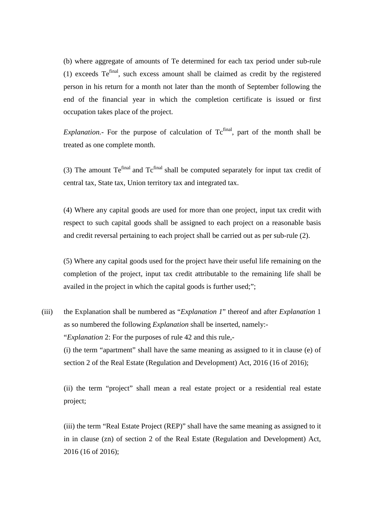(b) where aggregate of amounts of Te determined for each tax period under sub-rule (1) exceeds Tefinal, such excess amount shall be claimed as credit by the registered person in his return for a month not later than the month of September following the end of the financial year in which the completion certificate is issued or first occupation takes place of the project.

*Explanation.*- For the purpose of calculation of Tc<sup>final</sup>, part of the month shall be treated as one complete month.

(3) The amount  $Te^{final}$  and  $Te^{final}$  shall be computed separately for input tax credit of central tax, State tax, Union territory tax and integrated tax.

(4) Where any capital goods are used for more than one project, input tax credit with respect to such capital goods shall be assigned to each project on a reasonable basis and credit reversal pertaining to each project shall be carried out as per sub-rule (2).

(5) Where any capital goods used for the project have their useful life remaining on the completion of the project, input tax credit attributable to the remaining life shall be availed in the project in which the capital goods is further used;";

(iii) the Explanation shall be numbered as "*Explanation 1*" thereof and after *Explanation* 1 as so numbered the following *Explanation* shall be inserted, namely:- "*Explanation* 2: For the purposes of rule 42 and this rule,- (i) the term "apartment" shall have the same meaning as assigned to it in clause (e) of section 2 of the Real Estate (Regulation and Development) Act, 2016 (16 of 2016);

(ii) the term "project" shall mean a real estate project or a residential real estate project;

(iii) the term "Real Estate Project (REP)" shall have the same meaning as assigned to it in in clause (zn) of section 2 of the Real Estate (Regulation and Development) Act, 2016 (16 of 2016);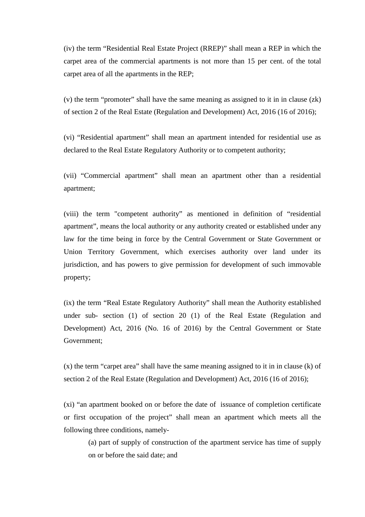(iv) the term "Residential Real Estate Project (RREP)" shall mean a REP in which the carpet area of the commercial apartments is not more than 15 per cent. of the total carpet area of all the apartments in the REP;

(v) the term "promoter" shall have the same meaning as assigned to it in in clause (zk) of section 2 of the Real Estate (Regulation and Development) Act, 2016 (16 of 2016);

(vi) "Residential apartment" shall mean an apartment intended for residential use as declared to the Real Estate Regulatory Authority or to competent authority;

(vii) "Commercial apartment" shall mean an apartment other than a residential apartment;

(viii) the term "competent authority" as mentioned in definition of "residential apartment", means the local authority or any authority created or established under any law for the time being in force by the Central Government or State Government or Union Territory Government, which exercises authority over land under its jurisdiction, and has powers to give permission for development of such immovable property;

(ix) the term "Real Estate Regulatory Authority" shall mean the Authority established under sub- section (1) of section 20 (1) of the Real Estate (Regulation and Development) Act, 2016 (No. 16 of 2016) by the Central Government or State Government;

(x) the term "carpet area" shall have the same meaning assigned to it in in clause (k) of section 2 of the Real Estate (Regulation and Development) Act, 2016 (16 of 2016);

(xi) "an apartment booked on or before the date of issuance of completion certificate or first occupation of the project" shall mean an apartment which meets all the following three conditions, namely-

(a) part of supply of construction of the apartment service has time of supply on or before the said date; and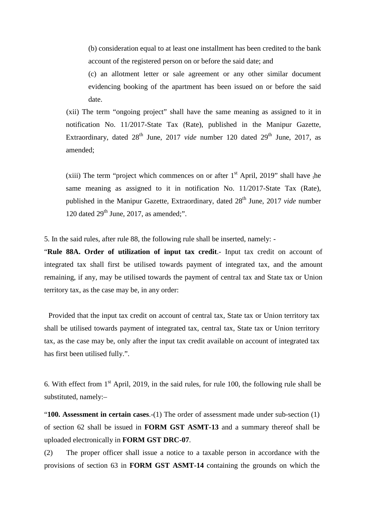(b) consideration equal to at least one installment has been credited to the bank account of the registered person on or before the said date; and

(c) an allotment letter or sale agreement or any other similar document evidencing booking of the apartment has been issued on or before the said date.

 (xii) The term "ongoing project" shall have the same meaning as assigned to it in notification No. 11/2017-State Tax (Rate), published in the Manipur Gazette, Extraordinary, dated  $28<sup>th</sup>$  June, 2017 *vide* number 120 dated  $29<sup>th</sup>$  June, 2017, as amended;

(xiii) The term "project which commences on or after  $1<sup>st</sup>$  April, 2019" shall have the same meaning as assigned to it in notification No. 11/2017-State Tax (Rate), published in the Manipur Gazette, Extraordinary, dated 28<sup>th</sup> June, 2017 *vide* number 120 dated  $29<sup>th</sup>$  June, 2017, as amended;".

5. In the said rules, after rule 88, the following rule shall be inserted, namely: -

"**Rule 88A. Order of utilization of input tax credit**.- Input tax credit on account of integrated tax shall first be utilised towards payment of integrated tax, and the amount remaining, if any, may be utilised towards the payment of central tax and State tax or Union territory tax, as the case may be, in any order:

Provided that the input tax credit on account of central tax, State tax or Union territory tax shall be utilised towards payment of integrated tax, central tax, State tax or Union territory tax, as the case may be, only after the input tax credit available on account of integrated tax has first been utilised fully.".

6. With effect from  $1<sup>st</sup>$  April, 2019, in the said rules, for rule 100, the following rule shall be substituted, namely:–

"**100. Assessment in certain cases**.-(1) The order of assessment made under sub-section (1) of section 62 shall be issued in **FORM GST ASMT-13** and a summary thereof shall be uploaded electronically in **FORM GST DRC-07**.

(2) The proper officer shall issue a notice to a taxable person in accordance with the provisions of section 63 in **FORM GST ASMT-14** containing the grounds on which the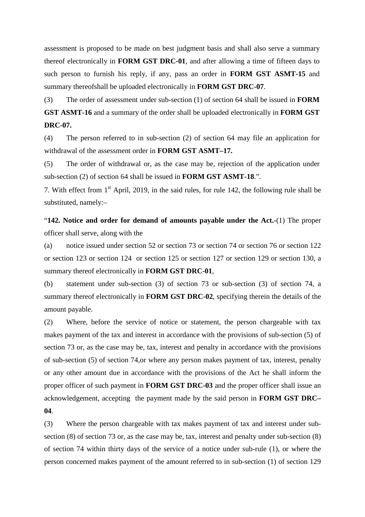assessment is proposed to be made on best judgment basis and shall also serve a summary thereof electronically in **FORM GST DRC-01**, and after allowing a time of fifteen days to such person to furnish his reply, if any, pass an order in **FORM GST ASMT-15** and summary thereofshall be uploaded electronically in **FORM GST DRC-07**.

(3) The order of assessment under sub-section (1) of section 64 shall be issued in **FORM GST ASMT-16** and a summary of the order shall be uploaded electronically in **FORM GST DRC-07.** 

(4) The person referred to in sub-section (2) of section 64 may file an application for withdrawal of the assessment order in **FORM GST ASMT–17.** 

(5) The order of withdrawal or, as the case may be, rejection of the application under sub-section (2) of section 64 shall be issued in **FORM GST ASMT-18**.".

7. With effect from 1<sup>st</sup> April, 2019, in the said rules, for rule 142, the following rule shall be substituted, namely:–

"**142. Notice and order for demand of amounts payable under the Act.-**(1) The proper officer shall serve, along with the

(a) notice issued under section 52 or section 73 or section 74 or section 76 or section 122 or section 123 or section 124 or section 125 or section 127 or section 129 or section 130, a summary thereof electronically in **FORM GST DRC-01**,

(b) statement under sub-section (3) of section 73 or sub-section (3) of section 74, a summary thereof electronically in **FORM GST DRC-02**, specifying therein the details of the amount payable.

(2) Where, before the service of notice or statement, the person chargeable with tax makes payment of the tax and interest in accordance with the provisions of sub-section (5) of section 73 or, as the case may be, tax, interest and penalty in accordance with the provisions of sub-section (5) of section 74,or where any person makes payment of tax, interest, penalty or any other amount due in accordance with the provisions of the Act he shall inform the proper officer of such payment in **FORM GST DRC-03** and the proper officer shall issue an acknowledgement, accepting the payment made by the said person in **FORM GST DRC– 04**.

(3) Where the person chargeable with tax makes payment of tax and interest under subsection (8) of section 73 or, as the case may be, tax, interest and penalty under sub-section (8) of section 74 within thirty days of the service of a notice under sub-rule (1), or where the person concerned makes payment of the amount referred to in sub-section (1) of section 129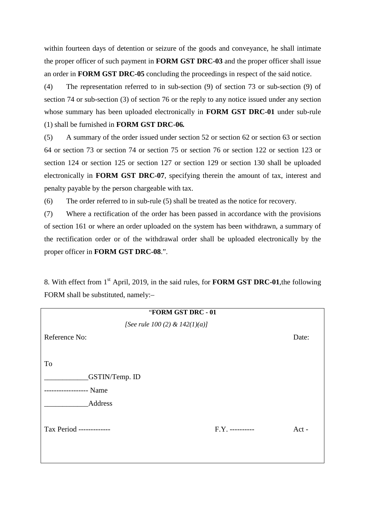within fourteen days of detention or seizure of the goods and conveyance, he shall intimate the proper officer of such payment in **FORM GST DRC-03** and the proper officer shall issue an order in **FORM GST DRC-05** concluding the proceedings in respect of the said notice.

(4) The representation referred to in sub-section (9) of section 73 or sub-section (9) of section 74 or sub-section (3) of section 76 or the reply to any notice issued under any section whose summary has been uploaded electronically in **FORM GST DRC-01** under sub-rule (1) shall be furnished in **FORM GST DRC-06***.*

(5) A summary of the order issued under section 52 or section 62 or section 63 or section 64 or section 73 or section 74 or section 75 or section 76 or section 122 or section 123 or section 124 or section 125 or section 127 or section 129 or section 130 shall be uploaded electronically in **FORM GST DRC-07**, specifying therein the amount of tax, interest and penalty payable by the person chargeable with tax.

(6) The order referred to in sub-rule (5) shall be treated as the notice for recovery.

(7) Where a rectification of the order has been passed in accordance with the provisions of section 161 or where an order uploaded on the system has been withdrawn, a summary of the rectification order or of the withdrawal order shall be uploaded electronically by the proper officer in **FORM GST DRC-08**.".

8. With effect from 1st April, 2019, in the said rules, for **FORM GST DRC-01**,the following FORM shall be substituted, namely:–

| "FORM GST DRC - 01                |                 |       |
|-----------------------------------|-----------------|-------|
| [See rule 100 (2) & $142(1)(a)$ ] |                 |       |
| Reference No:                     |                 | Date: |
|                                   |                 |       |
| To                                |                 |       |
| <b>GSTIN/Temp. ID</b>             |                 |       |
| --------------- Name              |                 |       |
| Address                           |                 |       |
|                                   |                 |       |
| Tax Period -------------          | F.Y. ---------- | Act - |
|                                   |                 |       |
|                                   |                 |       |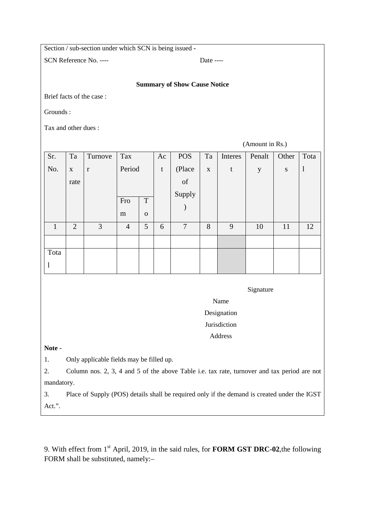Section / sub-section under which SCN is being issued **-** 

SCN Reference No. ----

#### **Summary of Show Cause Notice**

Brief facts of the case :

Grounds :

Tax and other dues :

(Amount in Rs.)

| Sr.          | Ta             | Turnove      | Tax            |             | Ac | <b>POS</b> | Ta          | Interes     | Penalt      | Other     | Tota         |
|--------------|----------------|--------------|----------------|-------------|----|------------|-------------|-------------|-------------|-----------|--------------|
| No.          | $\mathbf X$    | $\mathbf{r}$ | Period         |             | t  | (Place     | $\mathbf X$ | $\mathbf t$ | $\mathbf y$ | ${\bf S}$ | $\mathbf{1}$ |
|              | rate           |              |                |             |    | of         |             |             |             |           |              |
|              |                |              |                |             |    | Supply     |             |             |             |           |              |
|              |                |              | Fro            | T           |    |            |             |             |             |           |              |
|              |                |              | m              | $\mathbf 0$ |    |            |             |             |             |           |              |
| $\mathbf{1}$ | $\overline{2}$ | 3            | $\overline{4}$ | 5           | 6  | $\tau$     | 8           | 9           | 10          | 11        | 12           |
|              |                |              |                |             |    |            |             |             |             |           |              |
| Tota         |                |              |                |             |    |            |             |             |             |           |              |
| $\mathbf{l}$ |                |              |                |             |    |            |             |             |             |           |              |

Signature

Name

Designation

- Jurisdiction
- Address

**Note -** 

1. Only applicable fields may be filled up.

2. Column nos. 2, 3, 4 and 5 of the above Table i.e. tax rate, turnover and tax period are not mandatory.

3. Place of Supply (POS) details shall be required only if the demand is created under the IGST Act.".

9. With effect from 1st April, 2019, in the said rules, for **FORM GST DRC-02**,the following FORM shall be substituted, namely:–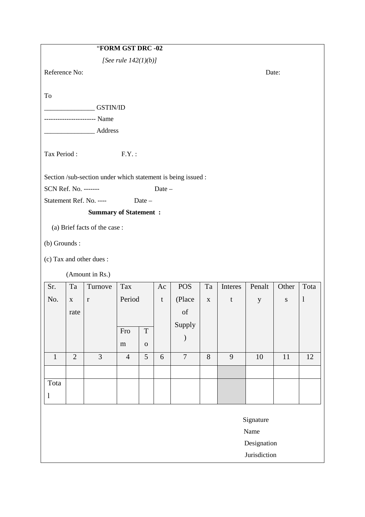|                      |                |                                                              | "FORM GST DRC -02       |                 |       |                |             |         |              |           |              |
|----------------------|----------------|--------------------------------------------------------------|-------------------------|-----------------|-------|----------------|-------------|---------|--------------|-----------|--------------|
|                      |                |                                                              | [See rule $142(1)(b)$ ] |                 |       |                |             |         |              |           |              |
| Reference No:        |                |                                                              |                         |                 |       |                |             |         | Date:        |           |              |
|                      |                |                                                              |                         |                 |       |                |             |         |              |           |              |
| To                   |                |                                                              |                         |                 |       |                |             |         |              |           |              |
|                      |                | GSTIN/ID                                                     |                         |                 |       |                |             |         |              |           |              |
|                      |                | --------------------- Name                                   |                         |                 |       |                |             |         |              |           |              |
|                      |                | Address                                                      |                         |                 |       |                |             |         |              |           |              |
| Tax Period:          |                |                                                              | $F.Y.$ :                |                 |       |                |             |         |              |           |              |
|                      |                | Section /sub-section under which statement is being issued : |                         |                 |       |                |             |         |              |           |              |
| SCN Ref. No. ------- |                |                                                              |                         |                 | Date- |                |             |         |              |           |              |
|                      |                | Statement Ref. No. ----                                      |                         | Date-           |       |                |             |         |              |           |              |
|                      |                | <b>Summary of Statement:</b>                                 |                         |                 |       |                |             |         |              |           |              |
|                      |                | (a) Brief facts of the case:                                 |                         |                 |       |                |             |         |              |           |              |
| (b) Grounds :        |                |                                                              |                         |                 |       |                |             |         |              |           |              |
|                      |                | (c) Tax and other dues :                                     |                         |                 |       |                |             |         |              |           |              |
|                      |                | (Amount in Rs.)                                              |                         |                 |       |                |             |         |              |           |              |
| Sr.                  | Ta             | Turnove                                                      | Tax                     |                 | Ac    | <b>POS</b>     | Ta          | Interes | Penalt       | Other     | Tota         |
| No.                  | $\mathbf{X}$   | $\bf r$                                                      | Period                  |                 | t     | (Place         | $\mathbf X$ | t       | $\mathbf{y}$ | ${\bf S}$ | $\mathbf{l}$ |
|                      | rate           |                                                              |                         |                 |       | of             |             |         |              |           |              |
|                      |                |                                                              | Fro                     | $\mathbf T$     |       | Supply         |             |         |              |           |              |
|                      |                |                                                              |                         |                 |       |                |             |         |              |           |              |
| $\mathbf{1}$         | $\overline{2}$ | $\overline{3}$                                               | ${\bf m}$               | ${\bf O}$       |       | $\overline{7}$ | $8\,$       | 9       |              | 11        |              |
|                      |                |                                                              | $\overline{4}$          | $5\overline{)}$ | 6     |                |             |         | $10\,$       |           | 12           |
|                      |                |                                                              |                         |                 |       |                |             |         |              |           |              |
| Tota                 |                |                                                              |                         |                 |       |                |             |         |              |           |              |
| $\mathbf{l}$         |                |                                                              |                         |                 |       |                |             |         |              |           |              |
|                      |                |                                                              |                         |                 |       |                |             |         | Signature    |           |              |
|                      |                |                                                              |                         |                 |       |                |             |         | Name         |           |              |
|                      |                |                                                              |                         |                 |       |                |             |         | Designation  |           |              |
|                      |                |                                                              |                         |                 |       |                |             |         | Jurisdiction |           |              |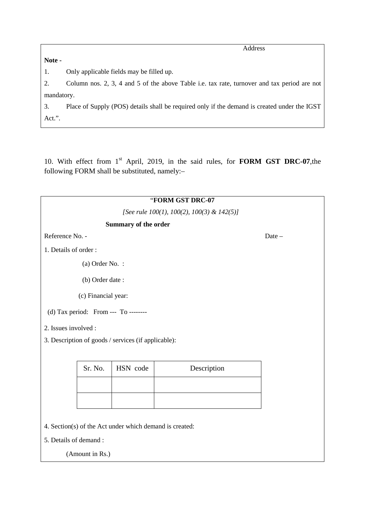**Note -** 

Address

1. Only applicable fields may be filled up.

2. Column nos. 2, 3, 4 and 5 of the above Table i.e. tax rate, turnover and tax period are not mandatory.

3. Place of Supply (POS) details shall be required only if the demand is created under the IGST Act.".

10. With effect from 1<sup>st</sup> April, 2019, in the said rules, for **FORM GST DRC-07**, the following FORM shall be substituted, namely:–

|                                                         |                      | "FORM GST DRC-07                           |       |
|---------------------------------------------------------|----------------------|--------------------------------------------|-------|
|                                                         |                      | [See rule 100(1), 100(2), 100(3) & 142(5)] |       |
|                                                         | Summary of the order |                                            |       |
| Reference No. -                                         |                      |                                            | Date- |
| 1. Details of order:                                    |                      |                                            |       |
| (a) Order No. :                                         |                      |                                            |       |
| (b) Order date:                                         |                      |                                            |       |
| (c) Financial year:                                     |                      |                                            |       |
| (d) Tax period: From --- To --------                    |                      |                                            |       |
| 2. Issues involved :                                    |                      |                                            |       |
| 3. Description of goods / services (if applicable):     |                      |                                            |       |
|                                                         |                      |                                            |       |
| Sr. No.                                                 | HSN code             | Description                                |       |
|                                                         |                      |                                            |       |
|                                                         |                      |                                            |       |
|                                                         |                      |                                            |       |
| 4. Section(s) of the Act under which demand is created: |                      |                                            |       |
| 5. Details of demand :                                  |                      |                                            |       |
| (Amount in Rs.)                                         |                      |                                            |       |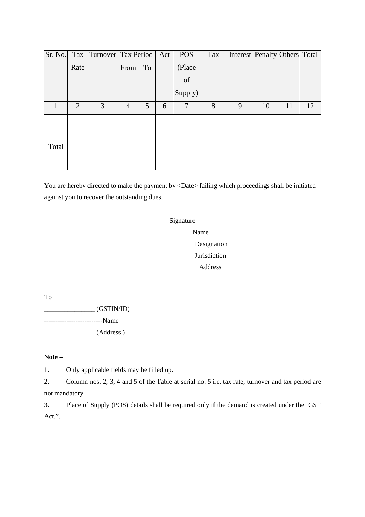| Sr. No. |                | Tax Turnover Tax Period   Act |                |    |   | <b>POS</b> | Tax | Interest Penalty Others Total |    |    |    |
|---------|----------------|-------------------------------|----------------|----|---|------------|-----|-------------------------------|----|----|----|
|         | Rate           |                               | From           | To |   | (Place     |     |                               |    |    |    |
|         |                |                               |                |    |   | of         |     |                               |    |    |    |
|         |                |                               |                |    |   | Supply)    |     |                               |    |    |    |
| 1       | $\overline{2}$ | 3                             | $\overline{4}$ | 5  | 6 | 7          | 8   | 9                             | 10 | 11 | 12 |
|         |                |                               |                |    |   |            |     |                               |    |    |    |
|         |                |                               |                |    |   |            |     |                               |    |    |    |
| Total   |                |                               |                |    |   |            |     |                               |    |    |    |
|         |                |                               |                |    |   |            |     |                               |    |    |    |

You are hereby directed to make the payment by <Date> failing which proceedings shall be initiated against you to recover the outstanding dues.

Signature

 Name Designation **Jurisdiction** Address

To

 $\overline{\phantom{a}}$  (GSTIN/ID)

------------------Name  $\_$  (Address )

**Note –** 

1. Only applicable fields may be filled up.

2. Column nos. 2, 3, 4 and 5 of the Table at serial no. 5 i.e. tax rate, turnover and tax period are not mandatory.

3. Place of Supply (POS) details shall be required only if the demand is created under the IGST Act.".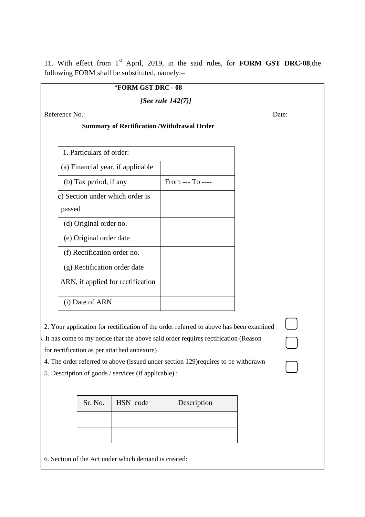11. With effect from 1<sup>st</sup> April, 2019, in the said rules, for **FORM GST DRC-08**,the following FORM shall be substituted, namely:–

# "**FORM GST DRC - 08**

*[See rule 142(7)]* 

Reference No.: Date:

 $\Box$ 

 $\overline{\phantom{0}}$ 

### **Summary of Rectification /Withdrawal Order**

| 1. Particulars of order:          |                 |
|-----------------------------------|-----------------|
| (a) Financial year, if applicable |                 |
| (b) Tax period, if any            | $From -- To --$ |
| c) Section under which order is   |                 |
| passed                            |                 |
| (d) Original order no.            |                 |
| (e) Original order date           |                 |
| (f) Rectification order no.       |                 |
| (g) Rectification order date      |                 |
| ARN, if applied for rectification |                 |
| (i) Date of ARN                   |                 |

2. Your application for rectification of the order referred to above has been examined

3. It has come to my notice that the above said order requires rectification (Reason

for rectification as per attached annexure)

4. The order referred to above (issued under section 129)requires to be withdrawn

5. Description of goods / services (if applicable) :

| Sr. No. | HSN code | Description |
|---------|----------|-------------|
|         |          |             |
|         |          |             |

6. Section of the Act under which demand is created: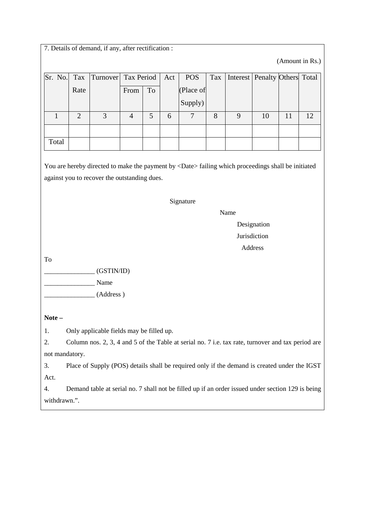|                |                | 7. Details of demand, if any, after rectification :                                                       |                |    |     |                |     |          |                |    |                 |
|----------------|----------------|-----------------------------------------------------------------------------------------------------------|----------------|----|-----|----------------|-----|----------|----------------|----|-----------------|
|                |                |                                                                                                           |                |    |     |                |     |          |                |    | (Amount in Rs.) |
| Sr. No.        | Tax            | Turnover                                                                                                  | Tax Period     |    | Act | <b>POS</b>     | Tax | Interest | Penalty Others |    | Total           |
|                | Rate           |                                                                                                           | From           | To |     | (Place of      |     |          |                |    |                 |
|                |                |                                                                                                           |                |    |     | Supply)        |     |          |                |    |                 |
| $\mathbf{1}$   | $\overline{2}$ | 3                                                                                                         | $\overline{4}$ | 5  | 6   | $\overline{7}$ | 8   | 9        | 10             | 11 | 12              |
|                |                |                                                                                                           |                |    |     |                |     |          |                |    |                 |
| Total          |                |                                                                                                           |                |    |     |                |     |          |                |    |                 |
|                |                |                                                                                                           |                |    |     |                |     |          |                |    |                 |
|                |                | You are hereby directed to make the payment by <date> failing which proceedings shall be initiated</date> |                |    |     |                |     |          |                |    |                 |
|                |                | against you to recover the outstanding dues.                                                              |                |    |     |                |     |          |                |    |                 |
|                |                |                                                                                                           |                |    |     |                |     |          |                |    |                 |
|                |                |                                                                                                           |                |    |     | Signature      |     |          |                |    |                 |
|                |                |                                                                                                           |                |    |     |                |     | Name     | Designation    |    |                 |
|                |                |                                                                                                           |                |    |     |                |     |          | Jurisdiction   |    |                 |
|                |                |                                                                                                           |                |    |     |                |     |          | Address        |    |                 |
| To             |                |                                                                                                           |                |    |     |                |     |          |                |    |                 |
|                |                | (GSTIN/ID)                                                                                                |                |    |     |                |     |          |                |    |                 |
|                |                | Name                                                                                                      |                |    |     |                |     |          |                |    |                 |
|                |                | (Address)                                                                                                 |                |    |     |                |     |          |                |    |                 |
|                |                |                                                                                                           |                |    |     |                |     |          |                |    |                 |
| Note –         |                |                                                                                                           |                |    |     |                |     |          |                |    |                 |
| 1.             |                | Only applicable fields may be filled up.                                                                  |                |    |     |                |     |          |                |    |                 |
| 2.             |                | Column nos. 2, 3, 4 and 5 of the Table at serial no. 7 i.e. tax rate, turnover and tax period are         |                |    |     |                |     |          |                |    |                 |
| not mandatory. |                |                                                                                                           |                |    |     |                |     |          |                |    |                 |
| 3.             |                | Place of Supply (POS) details shall be required only if the demand is created under the IGST              |                |    |     |                |     |          |                |    |                 |
| Act.           |                |                                                                                                           |                |    |     |                |     |          |                |    |                 |
| 4.             |                | Demand table at serial no. 7 shall not be filled up if an order issued under section 129 is being         |                |    |     |                |     |          |                |    |                 |
| withdrawn.".   |                |                                                                                                           |                |    |     |                |     |          |                |    |                 |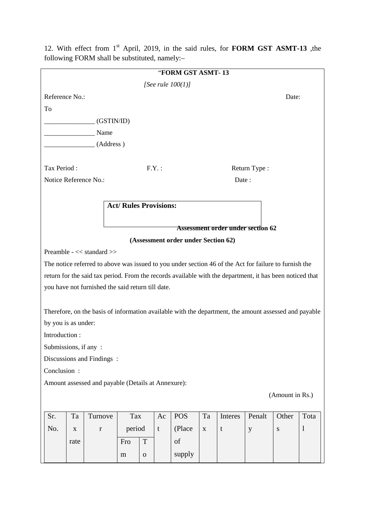|                       |      |                                                                                                          |                               |              |       | "FORM GST ASMT-13                   |              |                                   |              |                 |              |
|-----------------------|------|----------------------------------------------------------------------------------------------------------|-------------------------------|--------------|-------|-------------------------------------|--------------|-----------------------------------|--------------|-----------------|--------------|
|                       |      |                                                                                                          |                               |              |       | [See rule $100(1)$ ]                |              |                                   |              |                 |              |
| Reference No.:        |      |                                                                                                          |                               |              |       |                                     |              |                                   |              | Date:           |              |
| To                    |      |                                                                                                          |                               |              |       |                                     |              |                                   |              |                 |              |
|                       |      | (GSTIN/ID)                                                                                               |                               |              |       |                                     |              |                                   |              |                 |              |
|                       |      | Name                                                                                                     |                               |              |       |                                     |              |                                   |              |                 |              |
|                       |      | (Address)                                                                                                |                               |              |       |                                     |              |                                   |              |                 |              |
|                       |      |                                                                                                          |                               |              |       |                                     |              |                                   |              |                 |              |
| Tax Period:           |      |                                                                                                          |                               |              | F.Y.: |                                     |              |                                   | Return Type: |                 |              |
| Notice Reference No.: |      |                                                                                                          |                               |              |       |                                     |              | Date:                             |              |                 |              |
|                       |      |                                                                                                          |                               |              |       |                                     |              |                                   |              |                 |              |
|                       |      |                                                                                                          | <b>Act/ Rules Provisions:</b> |              |       |                                     |              |                                   |              |                 |              |
|                       |      |                                                                                                          |                               |              |       |                                     |              |                                   |              |                 |              |
|                       |      |                                                                                                          |                               |              |       |                                     |              | Assessment order under section 62 |              |                 |              |
|                       |      |                                                                                                          |                               |              |       | (Assessment order under Section 62) |              |                                   |              |                 |              |
|                       |      | Preamble - << standard >>                                                                                |                               |              |       |                                     |              |                                   |              |                 |              |
|                       |      | The notice referred to above was issued to you under section 46 of the Act for failure to furnish the    |                               |              |       |                                     |              |                                   |              |                 |              |
|                       |      | return for the said tax period. From the records available with the department, it has been noticed that |                               |              |       |                                     |              |                                   |              |                 |              |
|                       |      | you have not furnished the said return till date.                                                        |                               |              |       |                                     |              |                                   |              |                 |              |
|                       |      |                                                                                                          |                               |              |       |                                     |              |                                   |              |                 |              |
|                       |      | Therefore, on the basis of information available with the department, the amount assessed and payable    |                               |              |       |                                     |              |                                   |              |                 |              |
| by you is as under:   |      |                                                                                                          |                               |              |       |                                     |              |                                   |              |                 |              |
| Introduction:         |      |                                                                                                          |                               |              |       |                                     |              |                                   |              |                 |              |
| Submissions, if any:  |      |                                                                                                          |                               |              |       |                                     |              |                                   |              |                 |              |
|                       |      | Discussions and Findings:                                                                                |                               |              |       |                                     |              |                                   |              |                 |              |
| Conclusion:           |      |                                                                                                          |                               |              |       |                                     |              |                                   |              |                 |              |
|                       |      | Amount assessed and payable (Details at Annexure):                                                       |                               |              |       |                                     |              |                                   |              |                 |              |
|                       |      |                                                                                                          |                               |              |       |                                     |              |                                   |              | (Amount in Rs.) |              |
|                       |      |                                                                                                          |                               |              |       |                                     |              |                                   |              |                 |              |
| Sr.                   | Ta   | Turnove                                                                                                  | Tax                           |              | Ac    | <b>POS</b>                          | Ta           | Interes                           | Penalt       | Other           | Tota         |
| No.                   | X    | $\mathbf r$                                                                                              | period                        |              | t     | (Place)                             | $\mathbf{X}$ | $\mathbf t$                       | y            | ${\bf S}$       | $\mathbf{1}$ |
|                       | rate |                                                                                                          | Fro                           | T            |       | of                                  |              |                                   |              |                 |              |
|                       |      |                                                                                                          | m                             | $\mathbf{O}$ |       | supply                              |              |                                   |              |                 |              |
|                       |      |                                                                                                          |                               |              |       |                                     |              |                                   |              |                 |              |

12. With effect from 1st April, 2019, in the said rules, for **FORM GST ASMT-13** ,the following FORM shall be substituted, namely:–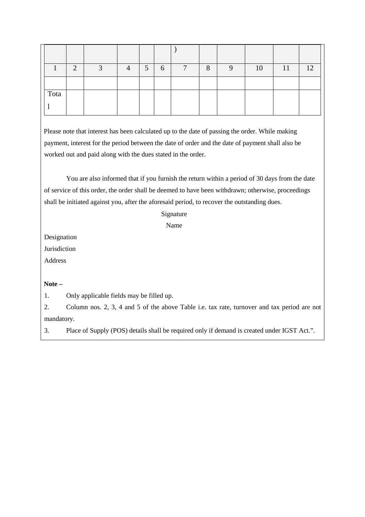|      | $\Omega$ | $\sqrt{2}$ | $\Lambda$ | 5 | 6 | ⇁ | 8 | 10 | 11 | 12 <sup>1</sup> |
|------|----------|------------|-----------|---|---|---|---|----|----|-----------------|
|      |          |            |           |   |   |   |   |    |    |                 |
| Tota |          |            |           |   |   |   |   |    |    |                 |
|      |          |            |           |   |   |   |   |    |    |                 |

Please note that interest has been calculated up to the date of passing the order. While making payment, interest for the period between the date of order and the date of payment shall also be worked out and paid along with the dues stated in the order.

You are also informed that if you furnish the return within a period of 30 days from the date of service of this order, the order shall be deemed to have been withdrawn; otherwise, proceedings shall be initiated against you, after the aforesaid period, to recover the outstanding dues.

#### Signature

Name

Designation

**Jurisdiction** 

Address

### **Note –**

1. Only applicable fields may be filled up.

2. Column nos. 2, 3, 4 and 5 of the above Table i.e. tax rate, turnover and tax period are not mandatory.

3. Place of Supply (POS) details shall be required only if demand is created under IGST Act.".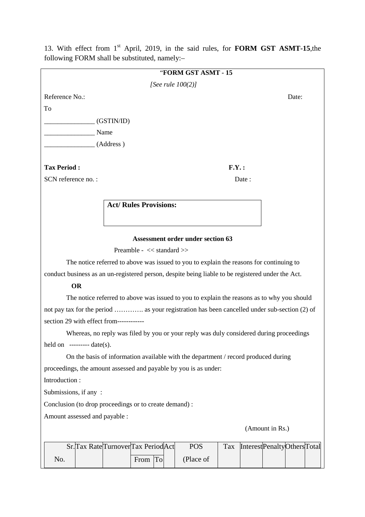|                                                        | "FORM GST ASMT - 15                                                                               |
|--------------------------------------------------------|---------------------------------------------------------------------------------------------------|
|                                                        | [See rule $100(2)$ ]                                                                              |
| Reference No.:                                         | Date:                                                                                             |
| To                                                     |                                                                                                   |
| (GSTIN/ID)                                             |                                                                                                   |
| Name                                                   |                                                                                                   |
| (Address)                                              |                                                                                                   |
|                                                        |                                                                                                   |
| <b>Tax Period:</b>                                     | F.Y.:                                                                                             |
| SCN reference no.:                                     | Date:                                                                                             |
|                                                        |                                                                                                   |
|                                                        | <b>Act/ Rules Provisions:</b>                                                                     |
|                                                        |                                                                                                   |
|                                                        |                                                                                                   |
|                                                        | <b>Assessment order under section 63</b>                                                          |
|                                                        | Preamble - << standard >>                                                                         |
|                                                        | The notice referred to above was issued to you to explain the reasons for continuing to           |
|                                                        | conduct business as an un-registered person, despite being liable to be registered under the Act. |
| <b>OR</b>                                              |                                                                                                   |
|                                                        | The notice referred to above was issued to you to explain the reasons as to why you should        |
|                                                        | not pay tax for the period  as your registration has been cancelled under sub-section (2) of      |
| section 29 with effect from------------                |                                                                                                   |
|                                                        | Whereas, no reply was filed by you or your reply was duly considered during proceedings           |
| held on $----$ date(s).                                |                                                                                                   |
|                                                        | On the basis of information available with the department / record produced during                |
|                                                        | proceedings, the amount assessed and payable by you is as under:                                  |
| Introduction:                                          |                                                                                                   |
| Submissions, if any:                                   |                                                                                                   |
| Conclusion (to drop proceedings or to create demand) : |                                                                                                   |
| Amount assessed and payable :                          |                                                                                                   |
|                                                        | (Amount in Rs.)                                                                                   |
|                                                        |                                                                                                   |
| Sr. Tax Rate Turnover Tax Period Act                   | <b>POS</b><br>InterestPenaltyOthersTotal<br>Tax                                                   |

13. With effect from 1st April, 2019, in the said rules, for **FORM GST ASMT-15**,the following FORM shall be substituted, namely:–

|     | Sr. Tax Rate Turnover Tax Period Act |      | POS       | $\text{Tax}$ | InterestPenaltyOthersTotal |  |  |
|-----|--------------------------------------|------|-----------|--------------|----------------------------|--|--|
| No. |                                      | From | (Place of |              |                            |  |  |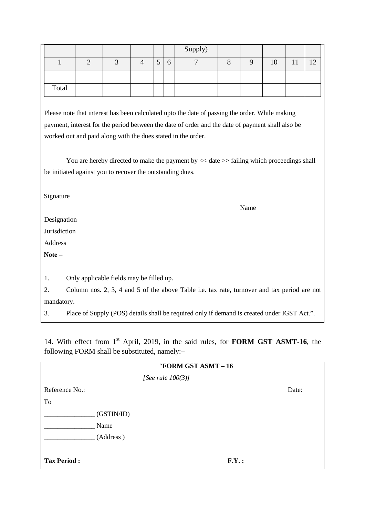|       |  |   |          | Supply) |  |    |   |             |
|-------|--|---|----------|---------|--|----|---|-------------|
|       |  | ັ | $\sigma$ |         |  | 10 | × | $1^{\circ}$ |
|       |  |   |          |         |  |    |   |             |
| Total |  |   |          |         |  |    |   |             |

Please note that interest has been calculated upto the date of passing the order. While making payment, interest for the period between the date of order and the date of payment shall also be worked out and paid along with the dues stated in the order.

You are hereby directed to make the payment by  $<<$  date  $>>$  failing which proceedings shall be initiated against you to recover the outstanding dues.

Signature

Name

Designation

Jurisdiction

Address

**Note –** 

1. Only applicable fields may be filled up.

2. Column nos. 2, 3, 4 and 5 of the above Table i.e. tax rate, turnover and tax period are not mandatory.

3. Place of Supply (POS) details shall be required only if demand is created under IGST Act.".

14. With effect from 1st April, 2019, in the said rules, for **FORM GST ASMT-16**, the following FORM shall be substituted, namely:–

|                    |            | "FORM GST ASMT - 16  |       |       |
|--------------------|------------|----------------------|-------|-------|
|                    |            | [See rule $100(3)$ ] |       |       |
| Reference No.:     |            |                      |       | Date: |
| To                 |            |                      |       |       |
|                    | (GSTIN/ID) |                      |       |       |
|                    | Name       |                      |       |       |
|                    | (Address)  |                      |       |       |
|                    |            |                      |       |       |
| <b>Tax Period:</b> |            |                      | F.Y.: |       |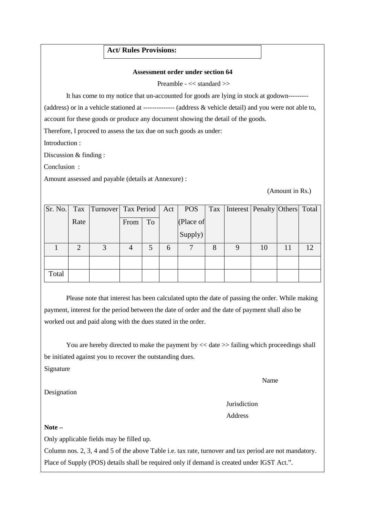## **Act/ Rules Provisions:**

#### **Assessment order under section 64**

Preamble - << standard >>

It has come to my notice that un-accounted for goods are lying in stock at godown---------

(address) or in a vehicle stationed at -------------- (address & vehicle detail) and you were not able to,

account for these goods or produce any document showing the detail of the goods.

Therefore, I proceed to assess the tax due on such goods as under:

Introduction :

Discussion & finding :

Conclusion :

Amount assessed and payable (details at Annexure) :

(Amount in Rs.)

| Sr. No. |                | Tax Turnover Tax Period   Act |      |    |   | <b>POS</b> | Tax | Interest   Penalty   Others   Total |    |    |    |
|---------|----------------|-------------------------------|------|----|---|------------|-----|-------------------------------------|----|----|----|
|         | Rate           |                               | From | To |   | (Place of  |     |                                     |    |    |    |
|         |                |                               |      |    |   | Supply)    |     |                                     |    |    |    |
|         | $\overline{2}$ | 3                             | 4    |    | 6 |            | 8   | 9                                   | 10 | 11 | 12 |
|         |                |                               |      |    |   |            |     |                                     |    |    |    |
| Total   |                |                               |      |    |   |            |     |                                     |    |    |    |

Please note that interest has been calculated upto the date of passing the order. While making payment, interest for the period between the date of order and the date of payment shall also be worked out and paid along with the dues stated in the order.

You are hereby directed to make the payment by  $<<$  date  $>>$  failing which proceedings shall be initiated against you to recover the outstanding dues.

Signature

Name

Designation

 Jurisdiction Address

**Note –** 

Only applicable fields may be filled up.

Column nos. 2, 3, 4 and 5 of the above Table i.e. tax rate, turnover and tax period are not mandatory. Place of Supply (POS) details shall be required only if demand is created under IGST Act.".